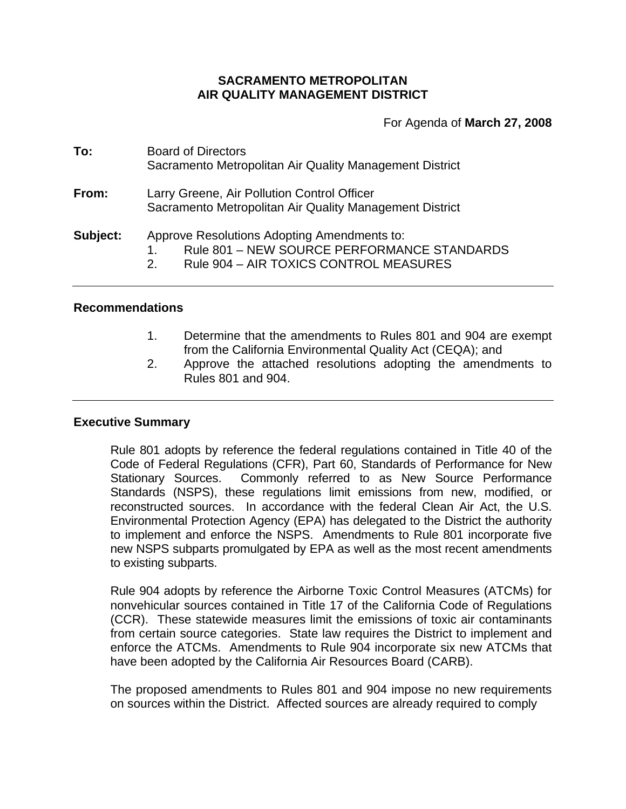# **SACRAMENTO METROPOLITAN AIR QUALITY MANAGEMENT DISTRICT**

For Agenda of **March 27, 2008**

| To:      | <b>Board of Directors</b><br>Sacramento Metropolitan Air Quality Management District                                                            |
|----------|-------------------------------------------------------------------------------------------------------------------------------------------------|
| From:    | Larry Greene, Air Pollution Control Officer<br>Sacramento Metropolitan Air Quality Management District                                          |
| Subject: | Approve Resolutions Adopting Amendments to:<br>Rule 801 - NEW SOURCE PERFORMANCE STANDARDS<br>Rule 904 - AIR TOXICS CONTROL MEASURES<br>$2_{-}$ |

## **Recommendations**

- 1. Determine that the amendments to Rules 801 and 904 are exempt from the California Environmental Quality Act (CEQA); and
- 2. Approve the attached resolutions adopting the amendments to Rules 801 and 904.

## **Executive Summary**

Rule 801 adopts by reference the federal regulations contained in Title 40 of the Code of Federal Regulations (CFR), Part 60, Standards of Performance for New Stationary Sources. Commonly referred to as New Source Performance Standards (NSPS), these regulations limit emissions from new, modified, or reconstructed sources. In accordance with the federal Clean Air Act, the U.S. Environmental Protection Agency (EPA) has delegated to the District the authority to implement and enforce the NSPS. Amendments to Rule 801 incorporate five new NSPS subparts promulgated by EPA as well as the most recent amendments to existing subparts.

Rule 904 adopts by reference the Airborne Toxic Control Measures (ATCMs) for nonvehicular sources contained in Title 17 of the California Code of Regulations (CCR). These statewide measures limit the emissions of toxic air contaminants from certain source categories. State law requires the District to implement and enforce the ATCMs. Amendments to Rule 904 incorporate six new ATCMs that have been adopted by the California Air Resources Board (CARB).

The proposed amendments to Rules 801 and 904 impose no new requirements on sources within the District. Affected sources are already required to comply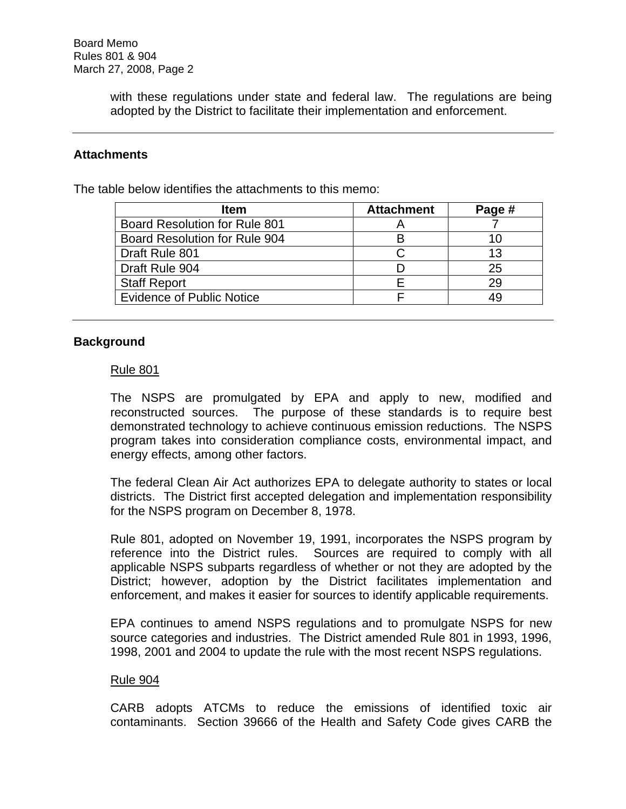with these regulations under state and federal law. The regulations are being adopted by the District to facilitate their implementation and enforcement.

# **Attachments**

The table below identifies the attachments to this memo:

| <b>Item</b>                          | <b>Attachment</b> | Page # |
|--------------------------------------|-------------------|--------|
| <b>Board Resolution for Rule 801</b> |                   |        |
| Board Resolution for Rule 904        |                   | 10     |
| Draft Rule 801                       |                   | 13     |
| Draft Rule 904                       |                   | 25     |
| <b>Staff Report</b>                  |                   | 29     |
| <b>Evidence of Public Notice</b>     |                   | 49     |
|                                      |                   |        |

## **Background**

#### Rule 801

The NSPS are promulgated by EPA and apply to new, modified and reconstructed sources. The purpose of these standards is to require best demonstrated technology to achieve continuous emission reductions. The NSPS program takes into consideration compliance costs, environmental impact, and energy effects, among other factors.

The federal Clean Air Act authorizes EPA to delegate authority to states or local districts. The District first accepted delegation and implementation responsibility for the NSPS program on December 8, 1978.

Rule 801, adopted on November 19, 1991, incorporates the NSPS program by reference into the District rules. Sources are required to comply with all applicable NSPS subparts regardless of whether or not they are adopted by the District; however, adoption by the District facilitates implementation and enforcement, and makes it easier for sources to identify applicable requirements.

EPA continues to amend NSPS regulations and to promulgate NSPS for new source categories and industries. The District amended Rule 801 in 1993, 1996, 1998, 2001 and 2004 to update the rule with the most recent NSPS regulations.

#### Rule 904

CARB adopts ATCMs to reduce the emissions of identified toxic air contaminants. Section 39666 of the Health and Safety Code gives CARB the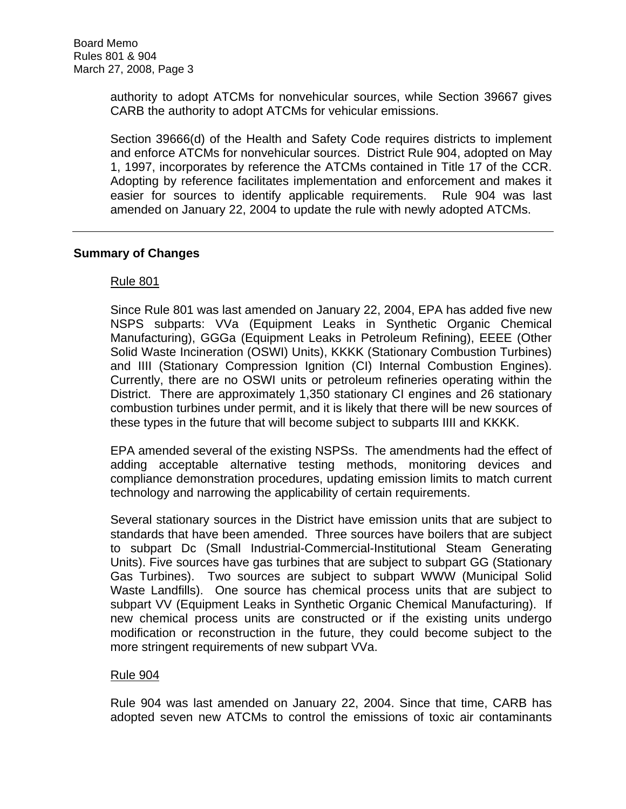authority to adopt ATCMs for nonvehicular sources, while Section 39667 gives CARB the authority to adopt ATCMs for vehicular emissions.

Section 39666(d) of the Health and Safety Code requires districts to implement and enforce ATCMs for nonvehicular sources. District Rule 904, adopted on May 1, 1997, incorporates by reference the ATCMs contained in Title 17 of the CCR. Adopting by reference facilitates implementation and enforcement and makes it easier for sources to identify applicable requirements. Rule 904 was last amended on January 22, 2004 to update the rule with newly adopted ATCMs.

# **Summary of Changes**

## Rule 801

Since Rule 801 was last amended on January 22, 2004, EPA has added five new NSPS subparts: VVa (Equipment Leaks in Synthetic Organic Chemical Manufacturing), GGGa (Equipment Leaks in Petroleum Refining), EEEE (Other Solid Waste Incineration (OSWI) Units), KKKK (Stationary Combustion Turbines) and IIII (Stationary Compression Ignition (CI) Internal Combustion Engines). Currently, there are no OSWI units or petroleum refineries operating within the District. There are approximately 1,350 stationary CI engines and 26 stationary combustion turbines under permit, and it is likely that there will be new sources of these types in the future that will become subject to subparts IIII and KKKK.

EPA amended several of the existing NSPSs. The amendments had the effect of adding acceptable alternative testing methods, monitoring devices and compliance demonstration procedures, updating emission limits to match current technology and narrowing the applicability of certain requirements.

Several stationary sources in the District have emission units that are subject to standards that have been amended. Three sources have boilers that are subject to subpart Dc (Small Industrial-Commercial-Institutional Steam Generating Units). Five sources have gas turbines that are subject to subpart GG (Stationary Gas Turbines). Two sources are subject to subpart WWW (Municipal Solid Waste Landfills). One source has chemical process units that are subject to subpart VV (Equipment Leaks in Synthetic Organic Chemical Manufacturing). If new chemical process units are constructed or if the existing units undergo modification or reconstruction in the future, they could become subject to the more stringent requirements of new subpart VVa.

## Rule 904

Rule 904 was last amended on January 22, 2004. Since that time, CARB has adopted seven new ATCMs to control the emissions of toxic air contaminants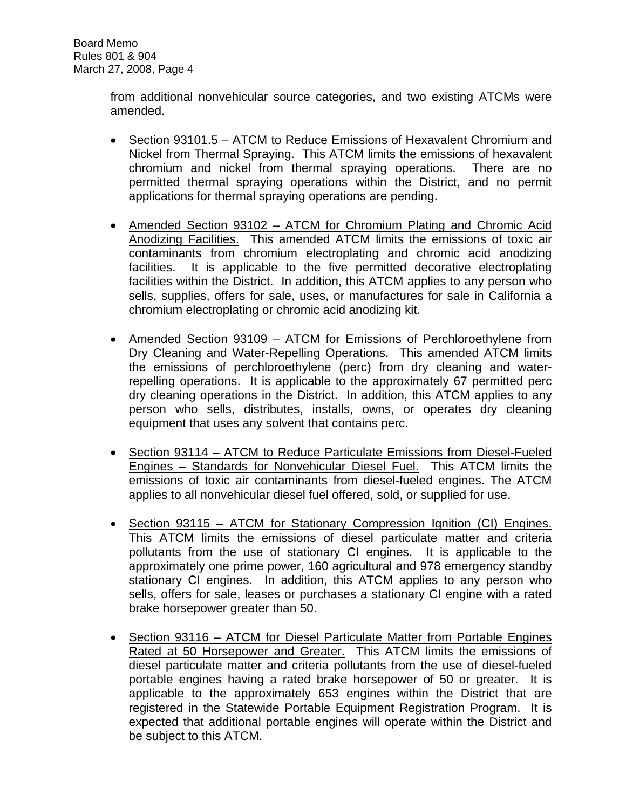from additional nonvehicular source categories, and two existing ATCMs were amended.

- Section 93101.5 ATCM to Reduce Emissions of Hexavalent Chromium and Nickel from Thermal Spraying. This ATCM limits the emissions of hexavalent chromium and nickel from thermal spraying operations. There are no permitted thermal spraying operations within the District, and no permit applications for thermal spraying operations are pending.
- Amended Section 93102 ATCM for Chromium Plating and Chromic Acid Anodizing Facilities. This amended ATCM limits the emissions of toxic air contaminants from chromium electroplating and chromic acid anodizing facilities. It is applicable to the five permitted decorative electroplating facilities within the District. In addition, this ATCM applies to any person who sells, supplies, offers for sale, uses, or manufactures for sale in California a chromium electroplating or chromic acid anodizing kit.
- Amended Section 93109 ATCM for Emissions of Perchloroethylene from Dry Cleaning and Water-Repelling Operations. This amended ATCM limits the emissions of perchloroethylene (perc) from dry cleaning and waterrepelling operations. It is applicable to the approximately 67 permitted perc dry cleaning operations in the District. In addition, this ATCM applies to any person who sells, distributes, installs, owns, or operates dry cleaning equipment that uses any solvent that contains perc.
- Section 93114 ATCM to Reduce Particulate Emissions from Diesel-Fueled Engines – Standards for Nonvehicular Diesel Fuel. This ATCM limits the emissions of toxic air contaminants from diesel-fueled engines. The ATCM applies to all nonvehicular diesel fuel offered, sold, or supplied for use.
- Section 93115 ATCM for Stationary Compression Ignition (CI) Engines. This ATCM limits the emissions of diesel particulate matter and criteria pollutants from the use of stationary CI engines. It is applicable to the approximately one prime power, 160 agricultural and 978 emergency standby stationary CI engines. In addition, this ATCM applies to any person who sells, offers for sale, leases or purchases a stationary CI engine with a rated brake horsepower greater than 50.
- Section 93116 ATCM for Diesel Particulate Matter from Portable Engines Rated at 50 Horsepower and Greater. This ATCM limits the emissions of diesel particulate matter and criteria pollutants from the use of diesel-fueled portable engines having a rated brake horsepower of 50 or greater. It is applicable to the approximately 653 engines within the District that are registered in the Statewide Portable Equipment Registration Program. It is expected that additional portable engines will operate within the District and be subject to this ATCM.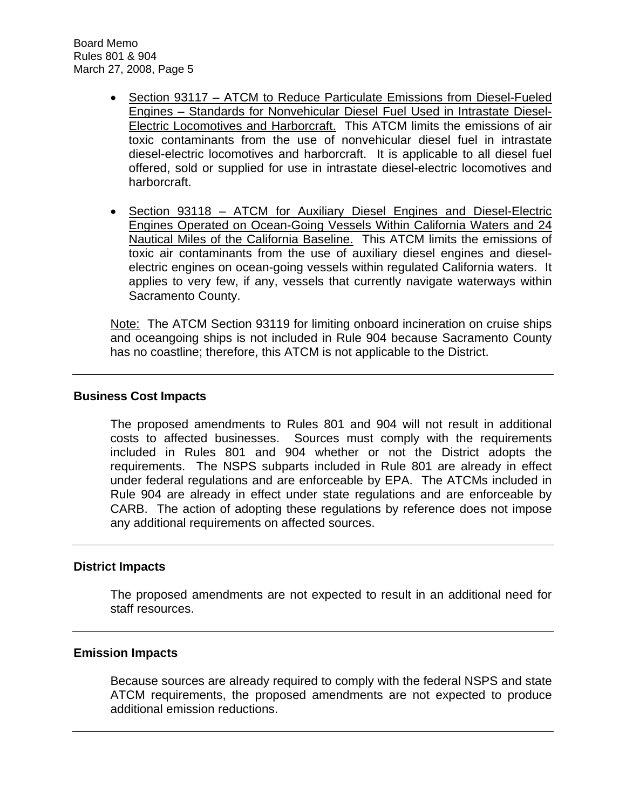- Section 93117 ATCM to Reduce Particulate Emissions from Diesel-Fueled Engines – Standards for Nonvehicular Diesel Fuel Used in Intrastate Diesel-Electric Locomotives and Harborcraft. This ATCM limits the emissions of air toxic contaminants from the use of nonvehicular diesel fuel in intrastate diesel-electric locomotives and harborcraft. It is applicable to all diesel fuel offered, sold or supplied for use in intrastate diesel-electric locomotives and harborcraft.
- Section 93118 ATCM for Auxiliary Diesel Engines and Diesel-Electric Engines Operated on Ocean-Going Vessels Within California Waters and 24 Nautical Miles of the California Baseline. This ATCM limits the emissions of toxic air contaminants from the use of auxiliary diesel engines and dieselelectric engines on ocean-going vessels within regulated California waters. It applies to very few, if any, vessels that currently navigate waterways within Sacramento County.

Note: The ATCM Section 93119 for limiting onboard incineration on cruise ships and oceangoing ships is not included in Rule 904 because Sacramento County has no coastline; therefore, this ATCM is not applicable to the District.

## **Business Cost Impacts**

The proposed amendments to Rules 801 and 904 will not result in additional costs to affected businesses. Sources must comply with the requirements included in Rules 801 and 904 whether or not the District adopts the requirements. The NSPS subparts included in Rule 801 are already in effect under federal regulations and are enforceable by EPA. The ATCMs included in Rule 904 are already in effect under state regulations and are enforceable by CARB. The action of adopting these regulations by reference does not impose any additional requirements on affected sources.

## **District Impacts**

The proposed amendments are not expected to result in an additional need for staff resources.

#### **Emission Impacts**

Because sources are already required to comply with the federal NSPS and state ATCM requirements, the proposed amendments are not expected to produce additional emission reductions.